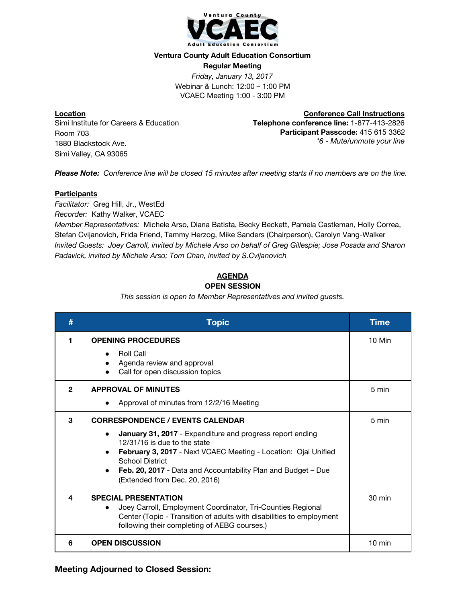

#### **Ventura County Adult Education Consortium**

**Regular Meeting** *Friday, January 13, 2017* Webinar & Lunch: 12:00 – 1:00 PM VCAEC Meeting 1:00 - 3:00 PM

**Location** Simi Institute for Careers & Education Room 703 1880 Blackstock Ave. Simi Valley, CA 93065

**Conference Call Instructions Telephone conference line:** 1-877-413-2826 **Participant Passcode:** 415 615 3362 *\*6 - Mute/unmute your line*

*Please Note: Conference line will be closed 15 minutes after meeting starts if no members are on the line.*

### **Participants**

*Facilitator:* Greg Hill, Jr., WestEd

*Recorder:* Kathy Walker, VCAEC

*Member Representatives:* Michele Arso, Diana Batista, Becky Beckett, Pamela Castleman, Holly Correa, Stefan Cvijanovich, Frida Friend, Tammy Herzog, Mike Sanders (Chairperson), Carolyn Vang-Walker *Invited Guests: Joey Carroll, invited by Michele Arso on behalf of Greg Gillespie; Jose Posada and Sharon Padavick, invited by Michele Arso; Tom Chan, invited by S.Cvijanovich*

# **AGENDA**

## **OPEN SESSION**

*This session is open to Member Representatives and invited guests.*

| #            | <b>Topic</b>                                                                                                                                                                                                                                                                                                                                    | <b>Time</b>      |
|--------------|-------------------------------------------------------------------------------------------------------------------------------------------------------------------------------------------------------------------------------------------------------------------------------------------------------------------------------------------------|------------------|
|              | <b>OPENING PROCEDURES</b><br><b>Roll Call</b><br>Agenda review and approval<br>Call for open discussion topics                                                                                                                                                                                                                                  | 10 Min           |
| $\mathbf{2}$ | <b>APPROVAL OF MINUTES</b><br>Approval of minutes from 12/2/16 Meeting                                                                                                                                                                                                                                                                          | 5 min            |
| 3            | <b>CORRESPONDENCE / EVENTS CALENDAR</b><br>January 31, 2017 - Expenditure and progress report ending<br>$\bullet$<br>12/31/16 is due to the state<br>February 3, 2017 - Next VCAEC Meeting - Location: Ojai Unified<br><b>School District</b><br>Feb. 20, 2017 - Data and Accountability Plan and Budget - Due<br>(Extended from Dec. 20, 2016) | 5 min            |
| 4            | <b>SPECIAL PRESENTATION</b><br>Joey Carroll, Employment Coordinator, Tri-Counties Regional<br>Center (Topic - Transition of adults with disabilities to employment<br>following their completing of AEBG courses.)                                                                                                                              | 30 min           |
| 6            | <b>OPEN DISCUSSION</b>                                                                                                                                                                                                                                                                                                                          | $10 \text{ min}$ |